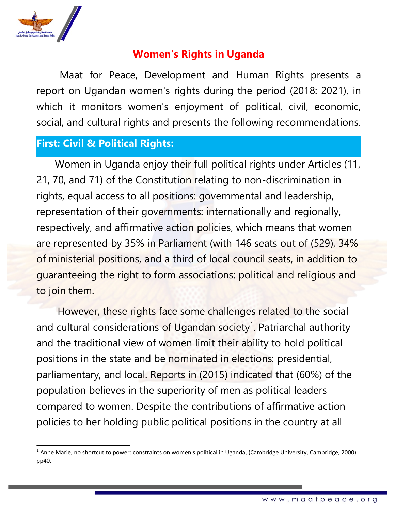

# **Women's Rights in Uganda**

Maat for Peace, Development and Human Rights presents <sup>a</sup> report on Ugandan women's rights during the period (2018: 2021), in which it monitors women's enjoyment of political, civil, economic, social, and cultural rights and presents the following recommendations.

## **First: Civil &Political Rights:**

Women in Uganda enjoy their full political rights under Articles (11, 21, 70, and 71) of the Constitution relating to non-discrimination in rights, equal access to all positions: governmental and leadership, representation of their governments: internationally and regionally, respectively, and affirmative action policies, which means that women are represented by 35% in Parliament (with 146 seats out of (529), 34% of ministerial positions, and <sup>a</sup> third of local council seats, in addition to guaranteeing the right to form associations: political and religious and to join them.

However, these rights face some challenges related to the social and cultural considerations of Ugandan society<sup>1</sup>. Patriarchal authority and the traditional view of women limit their ability to hold political positions in the state and be nominated in elections: presidential, parliamentary, and local. Reports in (2015) indicated that (60%) of the population believes in the superiority of men as political leaders compared to women. Despite the contributions of affirmative action policies to her holding public political positions in the country at all

<sup>1</sup> Anne Marie, no shortcut to power: constraints on women's political in Uganda, (Cambridge University, Cambridge, 2000) pp40.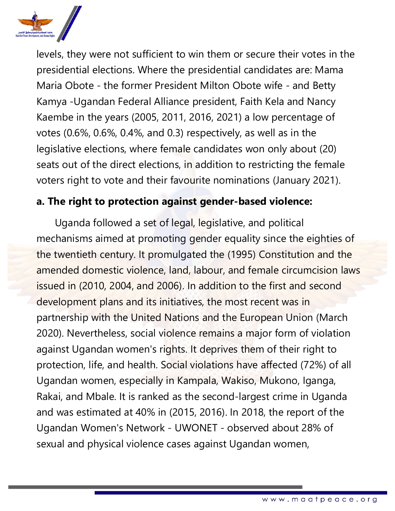

levels, they were not sufficient to win them or secure their votes in the presidential elections. Where the presidential candidates are: Mama Maria Obote - the former President Milton Obote wife - and Betty Kamya -Ugandan Federal Alliance president, Faith Kela and Nancy Kaembe in the years (2005, 2011, 2016, 2021) <sup>a</sup> low percentage of votes (0.6%, 0.6%, 0.4%, and 0.3) respectively, as well as in the legislative elections, where female candidates won only about (20) seats out of the direct elections, in addition to restricting the female voters right to vote and their favourite nominations (January 2021).

## **a. The right to protection against gender-based violence:**

Uganda followed <sup>a</sup> set of legal, legislative, and political mechanisms aimed at promoting gender equality since the eighties of the twentieth century. It promulgated the (1995) Constitution and the amended domestic violence, land, labour, and female circumcision laws issued in (2010, 2004, and 2006). In addition to the first and second development plans and its initiatives, the most recent was in partnership with the United Nations and the European Union (March 2020). Nevertheless, social violence remains <sup>a</sup> major form of violation against Ugandan women's rights. It deprives them of their right to protection, life, and health. Social violations have affected (72%) of all Ugandan women, especially in Kampala, Wakiso, Mukono, Iganga, Rakai, and Mbale. It is ranked as the second-largest crime in Uganda and was estimated at 40% in (2015, 2016). In 2018, the report of the Ugandan Women's Network - UWONET - observed about 28% of sexual and physical violence cases against Ugandan women,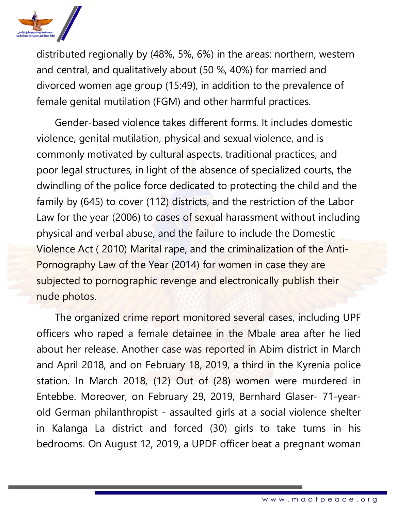

distributed regionally by (48%, 5%, 6%) in the areas: northern, western and central, and qualitatively about (50 %, 40%) for married and divorced women age group (15:49), in addition to the prevalence of female genital mutilation (FGM) and other harmful practices.

Gender-based violence takes different forms. It includes domestic violence, genital mutilation, physical and sexual violence, and is commonly motivated by cultural aspects, traditional practices, and poor legal structures, in light of the absence of specialized courts, the dwindling of the police force dedicated to protecting the child and the family by (645) to cover (112) districts, and the restriction of the Labor Law for the year (2006) to cases of sexual harassment without including physical and verbal abuse, and the failure to include the Domestic Violence Act ( 2010) Marital rape, and the criminalization of the Anti-Pornography Law of the Year (2014) for women in case they are subjected to pornographic revenge and electronically publish their nude photos.

The organized crime report monitored several cases, including UPF officers who raped <sup>a</sup> female detainee in the Mbale area after he lied about her release. Another case was reported in Abim district in March and April 2018, and on February 18, 2019, <sup>a</sup> third in the Kyrenia police station. In March 2018, (12) Out of (28) women were murdered in Entebbe. Moreover, on February 29, 2019, Bernhard Glaser- 71-yearold German philanthropist - assaulted girls at <sup>a</sup> social violence shelter in Kalanga La district and forced (30) girls to take turns in his bedrooms. On August 12, 2019, <sup>a</sup> UPDF officer beat <sup>a</sup> pregnan<sup>t</sup> woman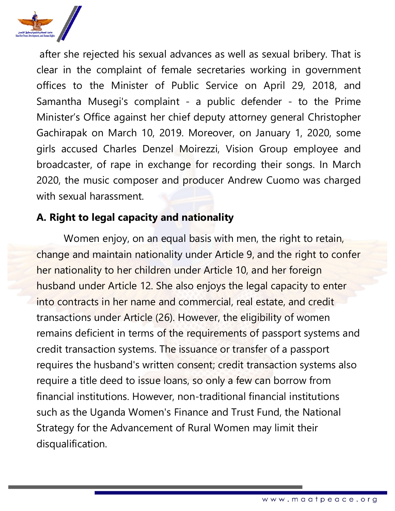

after she rejected his sexual advances as well as sexual bribery. That is clear in the complaint of female secretaries working in governmen<sup>t</sup> offices to the Minister of Public Service on April 29, 2018, and Samantha Musegi's complaint - <sup>a</sup> public defender - to the Prime Minister'<sup>s</sup> Office against her chief deputy attorney general Christopher Gachirapak on March 10, 2019. Moreover, on January 1, 2020, some girls accused Charles Denzel Moirezzi, Vision Group employee and broadcaster, of rape in exchange for recording their songs. In March 2020, the music composer and producer Andrew Cuomo was charged with sexual harassment.

## **A. Right to legal capacity and nationality**

Women enjoy, on an equal basis with men, the right to retain, change and maintain nationality under Article 9, and the right to confer her nationality to her children under Article 10, and her foreign husband under Article 12. She also enjoys the legal capacity to enter into contracts in her name and commercial, real estate, and credit transactions under Article (26). However, the eligibility of women remains deficient in terms of the requirements of passport systems and credit transaction systems. The issuance or transfer of <sup>a</sup> passport requires the husband's written consent; credit transaction systems also require <sup>a</sup> title deed to issue loans, so only <sup>a</sup> few can borrow from financial institutions. However, non-traditional financial institutions such as the Uganda Women's Finance and Trust Fund, the National Strategy for the Advancement of Rural Women may limit their disqualification.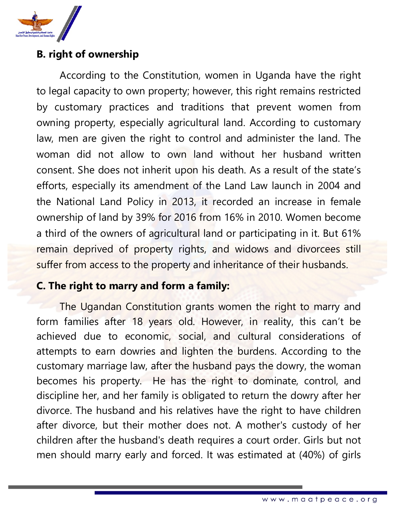

## **B. right of ownership**

According to the Constitution, women in Uganda have the right to legal capacity to own property; however, this right remains restricted by customary practices and traditions that prevent women from owning property, especially agricultural land. According to customary law, men are given the right to control and administer the land. The woman did not allow to own land without her husband written consent. She does not inherit upon his death. As <sup>a</sup> result of the state'<sup>s</sup> efforts, especially its amendment of the Land Law launch in 2004 and the National Land Policy in 2013, it recorded an increase in female ownership of land by 39% for 2016 from 16% in 2010. Women become <sup>a</sup> third of the owners of agricultural land or participating in it. But 61% remain deprived of property rights, and widows and divorcees still suffer from access to the property and inheritance of their husbands.

## **C. The right to marry and form <sup>a</sup> family:**

The Ugandan Constitution grants women the right to marry and form families after 18 years old. However, in reality, this can'<sup>t</sup> be achieved due to economic, social, and cultural considerations of attempts to earn dowries and lighten the burdens. According to the customary marriage law, after the husband pays the dowry, the woman becomes his property. He has the right to dominate, control, and discipline her, and her family is obligated to return the dowry after her divorce. The husband and his relatives have the right to have children after divorce, but their mother does not. A mother's custody of her children after the husband's death requires <sup>a</sup> court order. Girls but not men should marry early and forced. It was estimated at (40%) of girls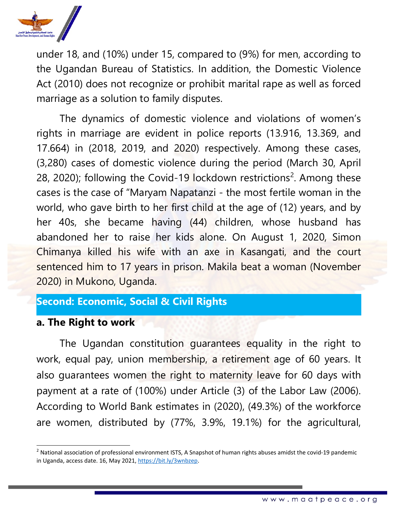

under 18, and (10%) under 15, compared to (9%) for men, according to the Ugandan Bureau of Statistics. In addition, the Domestic Violence Act (2010) does not recognize or prohibit marital rape as well as forced marriage as <sup>a</sup> solution to family disputes.

The dynamics of domestic violence and violations of women'<sup>s</sup> rights in marriage are evident in police reports (13.916, 13.369, and 17.664) in (2018, 2019, and 2020) respectively. Among these cases, (3,280) cases of domestic violence during the period (March 30, April 28, 2020); following the Covid-19 lockdown restrictions<sup>2</sup>. Among these cases is the case of "Maryam Napatanzi - the most fertile woman in the world, who gave birth to her first child at the age of (12) years, and by her 40s, she became having (44) children, whose husband has abandoned her to raise her kids alone. On August 1, 2020, Simon Chimanya killed his wife with an axe in Kasangati, and the court sentenced him to 17 years in prison. Makila beat <sup>a</sup> woman (November 2020) in Mukono, Uganda.

# **Second: Economic, Social &Civil Rights**

#### **a. The Right to work**

The Ugandan constitution guarantees equality in the right to work, equal pay, union membership, <sup>a</sup> retirement age of 60 years. It also guarantees women the right to maternity leave for 60 days with paymen<sup>t</sup> at <sup>a</sup> rate of (100%) under Article (3) of the Labor Law (2006). According to World Bank estimates in (2020), (49.3%) of the workforce are women, distributed by (77%, 3.9%, 19.1%) for the agricultural,

<sup>&</sup>lt;sup>2</sup> National association of professional environment ISTS, A Snapshot of human rights abuses amidst the covid-19 pandemic in Uganda, access date. 16, May 2021, <https://bit.ly/3wnbzep>.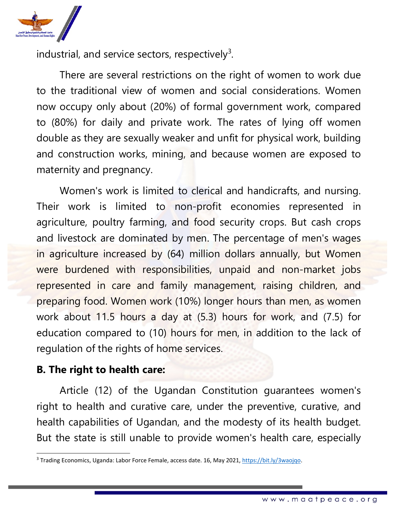

industrial, and service sectors, respectively $^3$ .

There are several restrictions on the right of women to work due to the traditional view of women and social considerations. Women now occupy only about (20%) of formal governmen<sup>t</sup> work, compared to (80%) for daily and private work. The rates of lying off women double as they are sexually weaker and unfit for physical work, building and construction works, mining, and because women are exposed to maternity and pregnancy.

Women's work is limited to clerical and handicrafts, and nursing. Their work is limited to non-profit economies represented in agriculture, poultry farming, and food security crops. But cash crops and livestock are dominated by men. The percentage of men's wages in agriculture increased by (64) million dollars annually, but Women were burdened with responsibilities, unpaid and non-market jobs represented in care and family management, raising children, and preparing food. Women work (10%) longer hours than men, as women work about 11.5 hours <sup>a</sup> day at (5.3) hours for work, and (7.5) for education compared to (10) hours for men, in addition to the lack of regulation of the rights of home services.

### **B. The right to health care:**

Article (12) of the Ugandan Constitution guarantees women's right to health and curative care, under the preventive, curative, and health capabilities of Ugandan, and the modesty of its health budget. But the state is still unable to provide women's health care, especially

<sup>&</sup>lt;sup>3</sup> Trading Economics, Uganda: Labor Force Female, access date. 16, May 2021, <https://bit.ly/3waojqo>.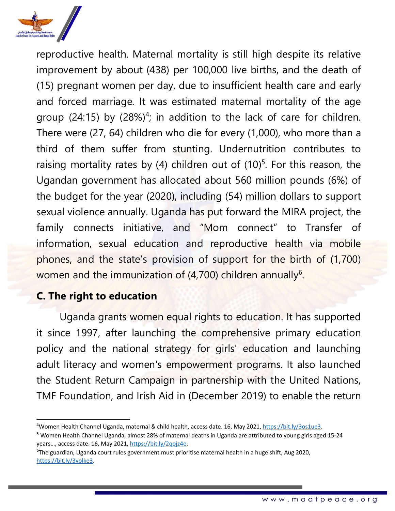

reproductive health. Maternal mortality is still high despite its relative improvement by about (438) per 100,000 live births, and the death of (15) pregnan<sup>t</sup> women per day, due to insufficient health care and early and forced marriage. It was estimated maternal mortality of the age group (24:15) by (28%) $^4$ ; in addition to the lack of care for children. There were (27, 64) children who die for every (1,000), who more than <sup>a</sup> third of them suffer from stunting. Undernutrition contributes to raising mortality rates by (4) children out of (10) $^5$ . For this reason, the Ugandan governmen<sup>t</sup> has allocated about 560 million pounds (6%) of the budget for the year (2020), including (54) million dollars to support sexual violence annually. Uganda has put forward the MIRA project, the family connects initiative, and "Mom connect" to Transfer of information, sexual education and reproductive health via mobile phones, and the state'<sup>s</sup> provision of support for the birth of (1,700) women and the immunization of (4,700) children annually<sup>6</sup>.

## **C. The right to education**

Uganda grants women equal rights to education. It has supported it since 1997, after launching the comprehensive primary education policy and the national strategy for girls' education and launching adult literacy and women's empowerment programs. It also launched the Student Return Campaign in partnership with the United Nations, TMF Foundation, and Irish Aid in (December 2019) to enable the return

<sup>4</sup>Women Health Channel Uganda, maternal &child health, access date. 16, May 2021, <https://bit.ly/3os1ue3>.

<sup>5</sup> Women Health Channel Uganda, almost 28% of maternal deaths in Uganda are attributed to young girls aged 15-24 years…, access date. 16, May 2021, <https://bit.ly/2qojz4e>.

<sup>6</sup> The guardian, Uganda court rules government must prioritise maternal health in <sup>a</sup> huge shift, Aug 2020, <https://bit.ly/3volke3>.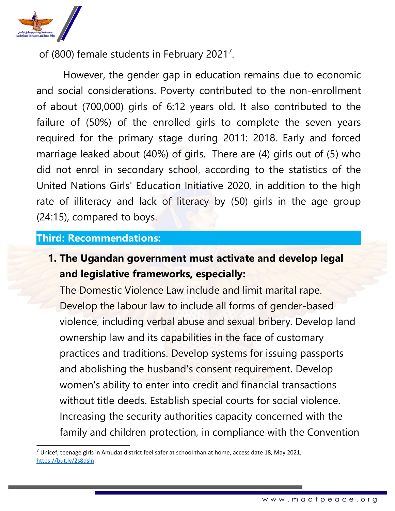

of (800) female students in February 2021<sup>7</sup>.

However, the gender gap in education remains due to economic and social considerations. Poverty contributed to the non-enrollment of about (700,000) girls of 6:12 years old. It also contributed to the failure of (50%) of the enrolled girls to complete the seven years required for the primary stage during 2011: 2018. Early and forced marriage leaked about (40%) of girls. There are (4) girls out of (5) who did not enrol in secondary school, according to the statistics of the United Nations Girls' Education Initiative 2020, in addition to the high rate of illiteracy and lack of literacy by (50) girls in the age group (24:15), compared to boys.

### **Third: Recommendations:**

**1. The Ugandan government must activate and develop legal and legislative frameworks, especially:**

The Domestic Violence Law include and limit marital rape. Develop the labour law to include all forms of gender-based violence, including verbal abuse and sexual bribery. Develop land ownership law and its capabilities in the face of customary practices and traditions. Develop systems for issuing passports and abolishing the husband's consent requirement. Develop women's ability to enter into credit and financial transactions without title deeds. Establish special courts for social violence. Increasing the security authorities capacity concerned with the family and children protection, in compliance with the Convention

<sup>&</sup>lt;sup>7</sup> Unicef, teenage girls in Amudat district feel safer at school than at home, access date 18, May 2021, <https://but.ly/2s8dsln>.